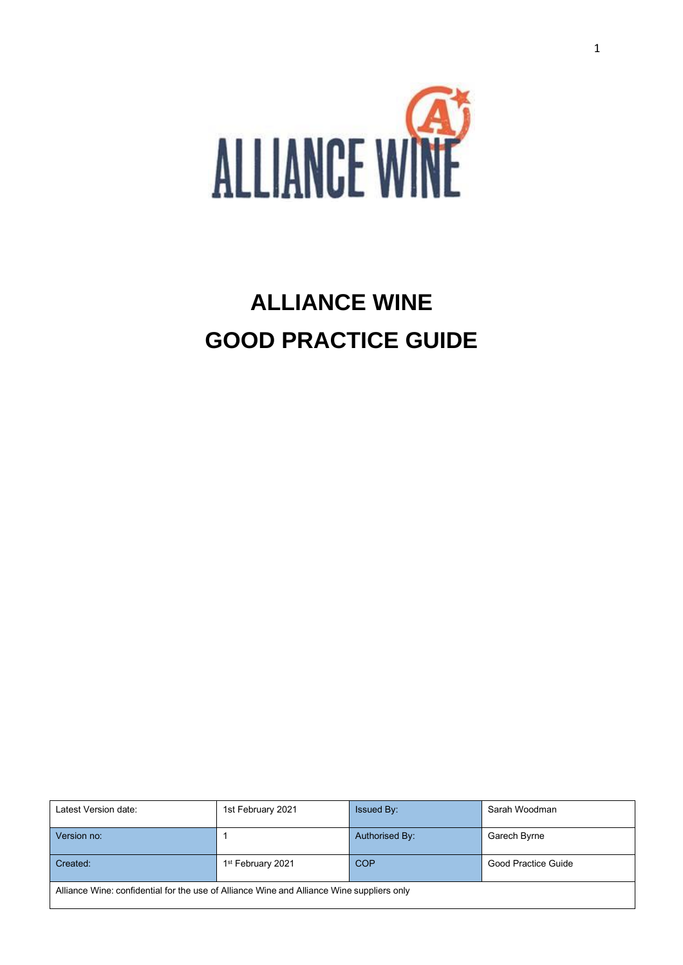

# **ALLIANCE WINE GOOD PRACTICE GUIDE**

| Latest Version date:                                                                      | 1st February 2021             | <b>Issued By:</b> | Sarah Woodman       |
|-------------------------------------------------------------------------------------------|-------------------------------|-------------------|---------------------|
| Version no:                                                                               |                               | Authorised By:    | Garech Byrne        |
| Created:                                                                                  | 1 <sup>st</sup> February 2021 | <b>COP</b>        | Good Practice Guide |
| Alliance Wine: confidential for the use of Alliance Wine and Alliance Wine suppliers only |                               |                   |                     |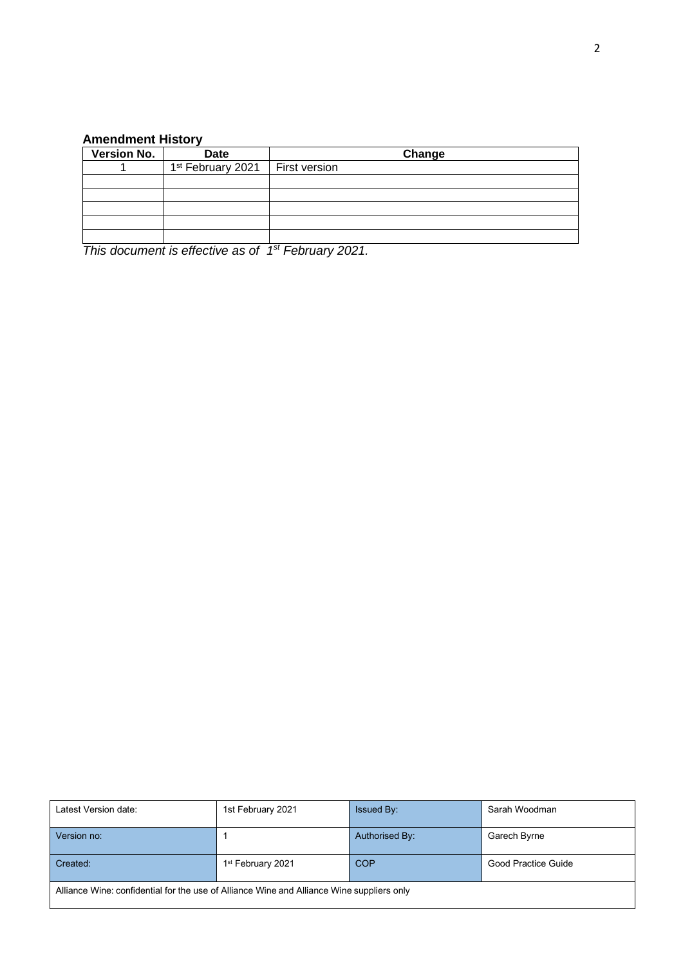## **Amendment History**

| <b>Version No.</b> | <b>Date</b>                                   | Change |
|--------------------|-----------------------------------------------|--------|
|                    | 1 <sup>st</sup> February 2021   First version |        |
|                    |                                               |        |
|                    |                                               |        |
|                    |                                               |        |
|                    |                                               |        |
|                    |                                               |        |

*This document is effective as of 1 st February 2021.*

| Latest Version date:                                                                      | 1st February 2021             | <b>Issued By:</b> | Sarah Woodman       |  |
|-------------------------------------------------------------------------------------------|-------------------------------|-------------------|---------------------|--|
| Version no:                                                                               |                               | Authorised By:    | Garech Byrne        |  |
| Created:                                                                                  | 1 <sup>st</sup> February 2021 | <b>COP</b>        | Good Practice Guide |  |
| Alliance Wine: confidential for the use of Alliance Wine and Alliance Wine suppliers only |                               |                   |                     |  |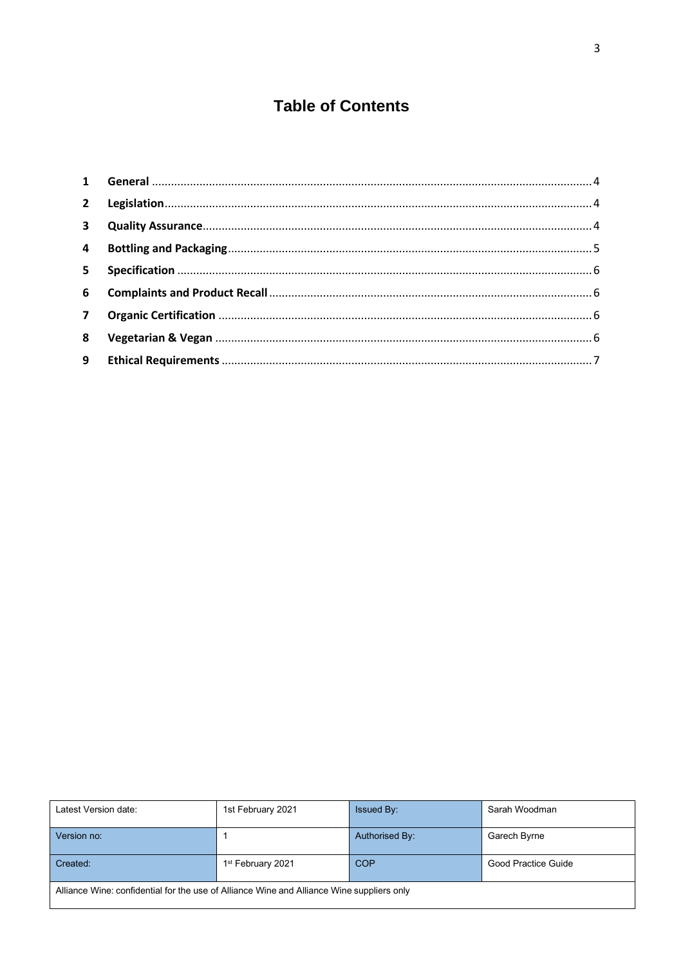## **Table of Contents**

| 8 |  |
|---|--|
|   |  |

| Latest Version date:                                                                      | 1st February 2021 | <b>Issued By:</b> | Sarah Woodman       |
|-------------------------------------------------------------------------------------------|-------------------|-------------------|---------------------|
| Version no:                                                                               |                   | Authorised By:    | Garech Byrne        |
| Created:                                                                                  | 1st February 2021 | <b>COP</b>        | Good Practice Guide |
| Alliance Wine: confidential for the use of Alliance Wine and Alliance Wine suppliers only |                   |                   |                     |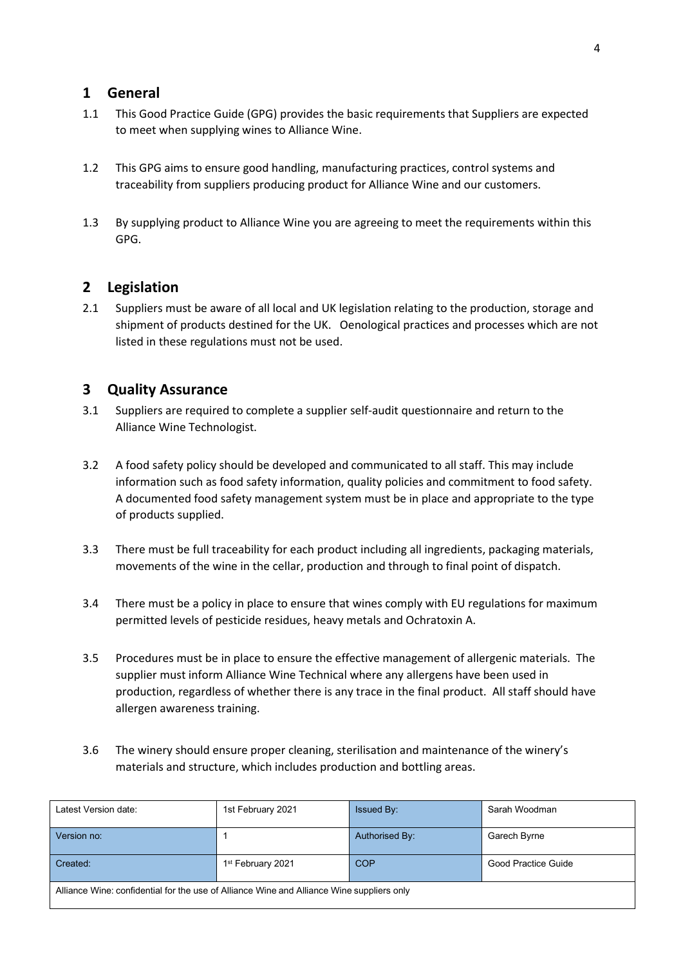### <span id="page-3-0"></span>**1 General**

- 1.1 This Good Practice Guide (GPG) provides the basic requirements that Suppliers are expected to meet when supplying wines to Alliance Wine.
- 1.2 This GPG aims to ensure good handling, manufacturing practices, control systems and traceability from suppliers producing product for Alliance Wine and our customers.
- 1.3 By supplying product to Alliance Wine you are agreeing to meet the requirements within this GPG.

## <span id="page-3-1"></span>**2 Legislation**

2.1 Suppliers must be aware of all local and UK legislation relating to the production, storage and shipment of products destined for the UK. Oenological practices and processes which are not listed in these regulations must not be used.

## <span id="page-3-2"></span>**3 Quality Assurance**

- 3.1 Suppliers are required to complete a supplier self-audit questionnaire and return to the Alliance Wine Technologist.
- 3.2 A food safety policy should be developed and communicated to all staff. This may include information such as food safety information, quality policies and commitment to food safety. A documented food safety management system must be in place and appropriate to the type of products supplied.
- 3.3 There must be full traceability for each product including all ingredients, packaging materials, movements of the wine in the cellar, production and through to final point of dispatch.
- 3.4 There must be a policy in place to ensure that wines comply with EU regulations for maximum permitted levels of pesticide residues, heavy metals and Ochratoxin A.
- 3.5 Procedures must be in place to ensure the effective management of allergenic materials. The supplier must inform Alliance Wine Technical where any allergens have been used in production, regardless of whether there is any trace in the final product. All staff should have allergen awareness training.
- 3.6 The winery should ensure proper cleaning, sterilisation and maintenance of the winery's materials and structure, which includes production and bottling areas.

| Latest Version date:                                                                      | 1st February 2021             | <b>Issued By:</b> | Sarah Woodman       |
|-------------------------------------------------------------------------------------------|-------------------------------|-------------------|---------------------|
| Version no:                                                                               |                               | Authorised By:    | Garech Byrne        |
| Created:                                                                                  | 1 <sup>st</sup> February 2021 | <b>COP</b>        | Good Practice Guide |
| Alliance Wine: confidential for the use of Alliance Wine and Alliance Wine suppliers only |                               |                   |                     |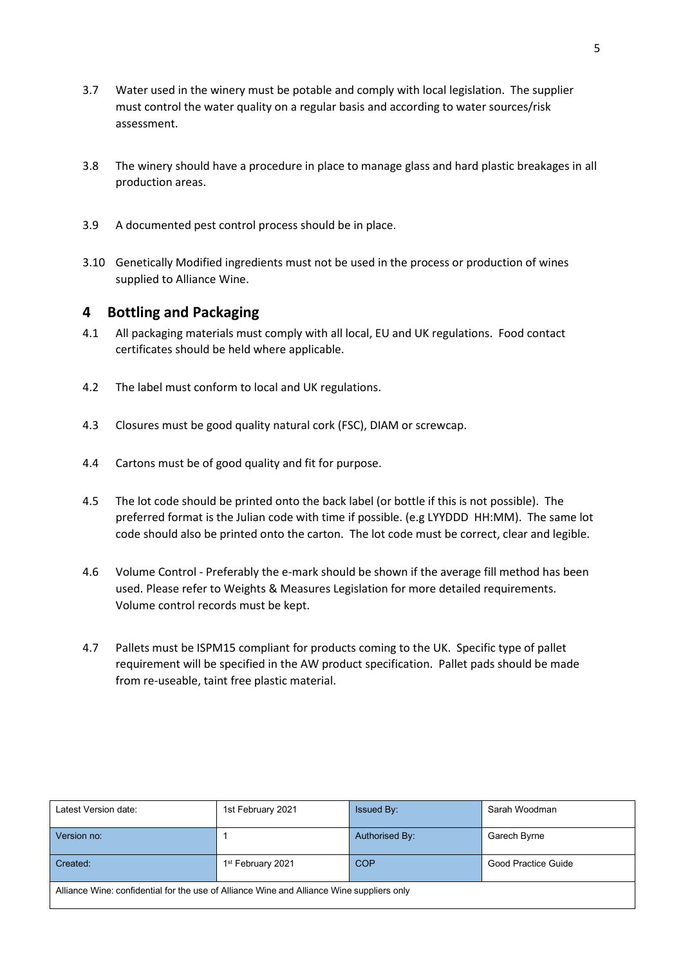- 3.7 Water used in the winery must be potable and comply with local legislation. The supplier must control the water quality on a regular basis and according to water sources/risk assessment.
- 3.8 The winery should have a procedure in place to manage glass and hard plastic breakages in all production areas.
- 3.9 A documented pest control process should be in place.
- 3.10 Genetically Modified ingredients must not be used in the process or production of wines supplied to Alliance Wine.

#### <span id="page-4-0"></span>**4 Bottling and Packaging**

- 4.1 All packaging materials must comply with all local, EU and UK regulations. Food contact certificates should be held where applicable.
- 4.2 The label must conform to local and UK regulations.
- 4.3 Closures must be good quality natural cork (FSC), DIAM or screwcap.
- 4.4 Cartons must be of good quality and fit for purpose.
- 4.5 The lot code should be printed onto the back label (or bottle if this is not possible). The preferred format is the Julian code with time if possible. (e.g LYYDDD HH:MM). The same lot code should also be printed onto the carton. The lot code must be correct, clear and legible.
- 4.6 Volume Control Preferably the e-mark should be shown if the average fill method has been used. Please refer to Weights & Measures Legislation for more detailed requirements. Volume control records must be kept.
- 4.7 Pallets must be ISPM15 compliant for products coming to the UK. Specific type of pallet requirement will be specified in the AW product specification. Pallet pads should be made from re-useable, taint free plastic material.

| Latest Version date:                                                                      | 1st February 2021             | Issued By:     | Sarah Woodman       |
|-------------------------------------------------------------------------------------------|-------------------------------|----------------|---------------------|
| Version no:                                                                               |                               | Authorised By: | Garech Byrne        |
| Created:                                                                                  | 1 <sup>st</sup> February 2021 | <b>COP</b>     | Good Practice Guide |
| Alliance Wine: confidential for the use of Alliance Wine and Alliance Wine suppliers only |                               |                |                     |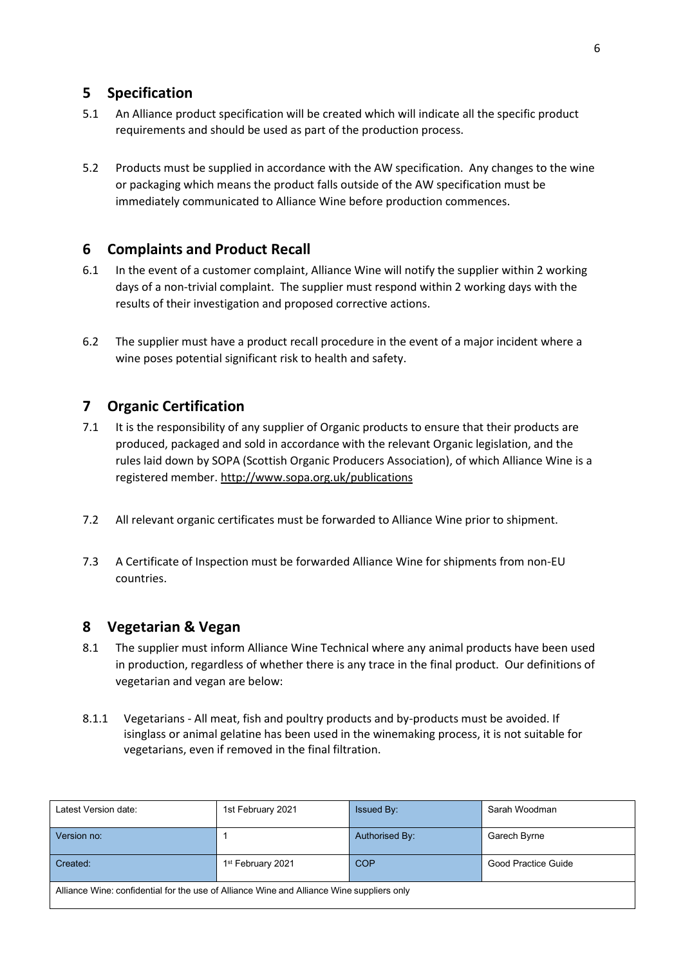## <span id="page-5-0"></span>**5 Specification**

- 5.1 An Alliance product specification will be created which will indicate all the specific product requirements and should be used as part of the production process.
- 5.2 Products must be supplied in accordance with the AW specification. Any changes to the wine or packaging which means the product falls outside of the AW specification must be immediately communicated to Alliance Wine before production commences.

## <span id="page-5-1"></span>**6 Complaints and Product Recall**

- 6.1 In the event of a customer complaint, Alliance Wine will notify the supplier within 2 working days of a non-trivial complaint. The supplier must respond within 2 working days with the results of their investigation and proposed corrective actions.
- 6.2 The supplier must have a product recall procedure in the event of a major incident where a wine poses potential significant risk to health and safety.

## <span id="page-5-2"></span>**7 Organic Certification**

- 7.1 It is the responsibility of any supplier of Organic products to ensure that their products are produced, packaged and sold in accordance with the relevant Organic legislation, and the rules laid down by SOPA (Scottish Organic Producers Association), of which Alliance Wine is a registered member.<http://www.sopa.org.uk/publications>
- 7.2 All relevant organic certificates must be forwarded to Alliance Wine prior to shipment.
- 7.3 A Certificate of Inspection must be forwarded Alliance Wine for shipments from non-EU countries.

## <span id="page-5-3"></span>**8 Vegetarian & Vegan**

- 8.1 The supplier must inform Alliance Wine Technical where any animal products have been used in production, regardless of whether there is any trace in the final product. Our definitions of vegetarian and vegan are below:
- 8.1.1 Vegetarians All meat, fish and poultry products and by-products must be avoided. If isinglass or animal gelatine has been used in the winemaking process, it is not suitable for vegetarians, even if removed in the final filtration.

| Latest Version date:                                                                      | 1st February 2021             | <b>Issued By:</b> | Sarah Woodman       |
|-------------------------------------------------------------------------------------------|-------------------------------|-------------------|---------------------|
| Version no:                                                                               |                               | Authorised By:    | Garech Byrne        |
| Created:                                                                                  | 1 <sup>st</sup> February 2021 | <b>COP</b>        | Good Practice Guide |
| Alliance Wine: confidential for the use of Alliance Wine and Alliance Wine suppliers only |                               |                   |                     |